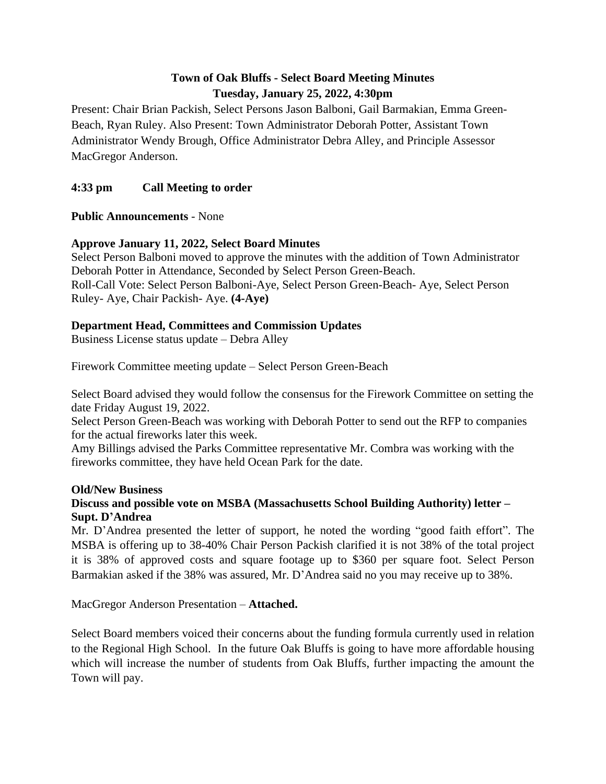# **Town of Oak Bluffs - Select Board Meeting Minutes Tuesday, January 25, 2022, 4:30pm**

Present: Chair Brian Packish, Select Persons Jason Balboni, Gail Barmakian, Emma Green-Beach, Ryan Ruley. Also Present: Town Administrator Deborah Potter, Assistant Town Administrator Wendy Brough, Office Administrator Debra Alley, and Principle Assessor MacGregor Anderson.

## **4:33 pm Call Meeting to order**

**Public Announcements** - None

## **Approve January 11, 2022, Select Board Minutes**

Select Person Balboni moved to approve the minutes with the addition of Town Administrator Deborah Potter in Attendance, Seconded by Select Person Green-Beach. Roll-Call Vote: Select Person Balboni-Aye, Select Person Green-Beach- Aye, Select Person Ruley- Aye, Chair Packish- Aye. **(4-Aye)**

## **Department Head, Committees and Commission Updates**

Business License status update – Debra Alley

Firework Committee meeting update – Select Person Green-Beach

Select Board advised they would follow the consensus for the Firework Committee on setting the date Friday August 19, 2022.

Select Person Green-Beach was working with Deborah Potter to send out the RFP to companies for the actual fireworks later this week.

Amy Billings advised the Parks Committee representative Mr. Combra was working with the fireworks committee, they have held Ocean Park for the date.

#### **Old/New Business**

## **Discuss and possible vote on MSBA (Massachusetts School Building Authority) letter – Supt. D'Andrea**

Mr. D'Andrea presented the letter of support, he noted the wording "good faith effort". The MSBA is offering up to 38-40% Chair Person Packish clarified it is not 38% of the total project it is 38% of approved costs and square footage up to \$360 per square foot. Select Person Barmakian asked if the 38% was assured, Mr. D'Andrea said no you may receive up to 38%.

MacGregor Anderson Presentation – **Attached.**

Select Board members voiced their concerns about the funding formula currently used in relation to the Regional High School. In the future Oak Bluffs is going to have more affordable housing which will increase the number of students from Oak Bluffs, further impacting the amount the Town will pay.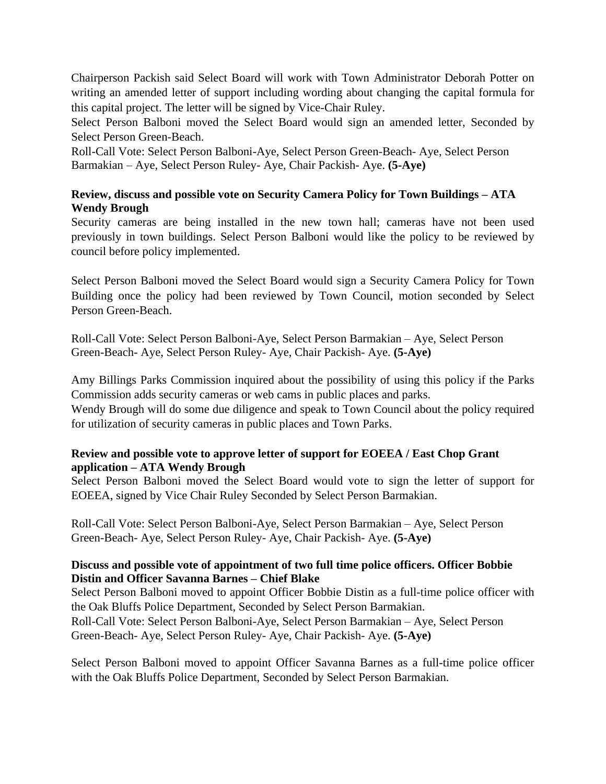Chairperson Packish said Select Board will work with Town Administrator Deborah Potter on writing an amended letter of support including wording about changing the capital formula for this capital project. The letter will be signed by Vice-Chair Ruley.

Select Person Balboni moved the Select Board would sign an amended letter, Seconded by Select Person Green-Beach.

Roll-Call Vote: Select Person Balboni-Aye, Select Person Green-Beach- Aye, Select Person Barmakian – Aye, Select Person Ruley- Aye, Chair Packish- Aye. **(5-Aye)**

## **Review, discuss and possible vote on Security Camera Policy for Town Buildings – ATA Wendy Brough**

Security cameras are being installed in the new town hall; cameras have not been used previously in town buildings. Select Person Balboni would like the policy to be reviewed by council before policy implemented.

Select Person Balboni moved the Select Board would sign a Security Camera Policy for Town Building once the policy had been reviewed by Town Council, motion seconded by Select Person Green-Beach.

Roll-Call Vote: Select Person Balboni-Aye, Select Person Barmakian – Aye, Select Person Green-Beach- Aye, Select Person Ruley- Aye, Chair Packish- Aye. **(5-Aye)**

Amy Billings Parks Commission inquired about the possibility of using this policy if the Parks Commission adds security cameras or web cams in public places and parks.

Wendy Brough will do some due diligence and speak to Town Council about the policy required for utilization of security cameras in public places and Town Parks.

## **Review and possible vote to approve letter of support for EOEEA / East Chop Grant application – ATA Wendy Brough**

Select Person Balboni moved the Select Board would vote to sign the letter of support for EOEEA, signed by Vice Chair Ruley Seconded by Select Person Barmakian.

Roll-Call Vote: Select Person Balboni-Aye, Select Person Barmakian – Aye, Select Person Green-Beach- Aye, Select Person Ruley- Aye, Chair Packish- Aye. **(5-Aye)**

## **Discuss and possible vote of appointment of two full time police officers. Officer Bobbie Distin and Officer Savanna Barnes – Chief Blake**

Select Person Balboni moved to appoint Officer Bobbie Distin as a full-time police officer with the Oak Bluffs Police Department, Seconded by Select Person Barmakian.

Roll-Call Vote: Select Person Balboni-Aye, Select Person Barmakian – Aye, Select Person Green-Beach- Aye, Select Person Ruley- Aye, Chair Packish- Aye. **(5-Aye)**

Select Person Balboni moved to appoint Officer Savanna Barnes as a full-time police officer with the Oak Bluffs Police Department, Seconded by Select Person Barmakian.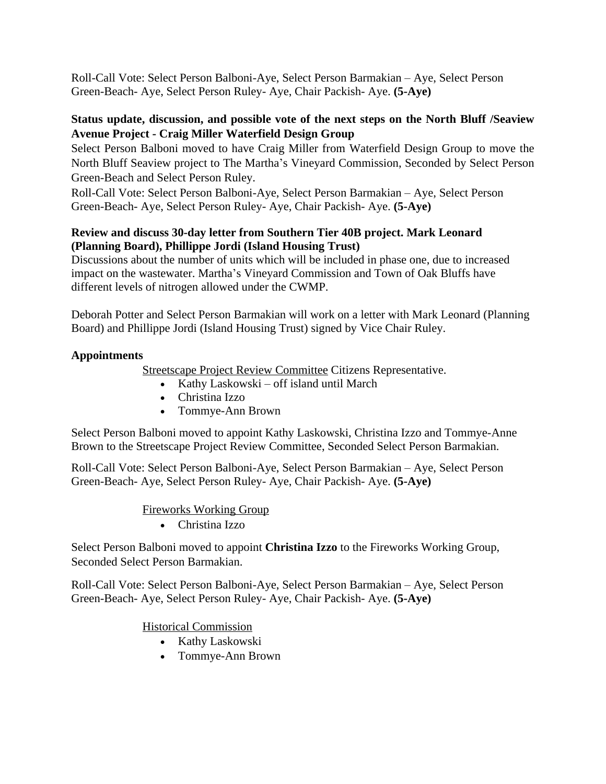Roll-Call Vote: Select Person Balboni-Aye, Select Person Barmakian – Aye, Select Person Green-Beach- Aye, Select Person Ruley- Aye, Chair Packish- Aye. **(5-Aye)**

## **Status update, discussion, and possible vote of the next steps on the North Bluff /Seaview Avenue Project - Craig Miller Waterfield Design Group**

Select Person Balboni moved to have Craig Miller from Waterfield Design Group to move the North Bluff Seaview project to The Martha's Vineyard Commission, Seconded by Select Person Green-Beach and Select Person Ruley.

Roll-Call Vote: Select Person Balboni-Aye, Select Person Barmakian – Aye, Select Person Green-Beach- Aye, Select Person Ruley- Aye, Chair Packish- Aye. **(5-Aye)**

## **Review and discuss 30-day letter from Southern Tier 40B project. Mark Leonard (Planning Board), Phillippe Jordi (Island Housing Trust)**

Discussions about the number of units which will be included in phase one, due to increased impact on the wastewater. Martha's Vineyard Commission and Town of Oak Bluffs have different levels of nitrogen allowed under the CWMP.

Deborah Potter and Select Person Barmakian will work on a letter with Mark Leonard (Planning Board) and Phillippe Jordi (Island Housing Trust) signed by Vice Chair Ruley.

## **Appointments**

Streetscape Project Review Committee Citizens Representative.

- Kathy Laskowski off island until March
- Christina Izzo
- Tommye-Ann Brown

Select Person Balboni moved to appoint Kathy Laskowski, Christina Izzo and Tommye-Anne Brown to the Streetscape Project Review Committee, Seconded Select Person Barmakian.

Roll-Call Vote: Select Person Balboni-Aye, Select Person Barmakian – Aye, Select Person Green-Beach- Aye, Select Person Ruley- Aye, Chair Packish- Aye. **(5-Aye)**

## Fireworks Working Group

Christina Izzo

Select Person Balboni moved to appoint **Christina Izzo** to the Fireworks Working Group, Seconded Select Person Barmakian.

Roll-Call Vote: Select Person Balboni-Aye, Select Person Barmakian – Aye, Select Person Green-Beach- Aye, Select Person Ruley- Aye, Chair Packish- Aye. **(5-Aye)**

Historical Commission

- Kathy Laskowski
- Tommye-Ann Brown